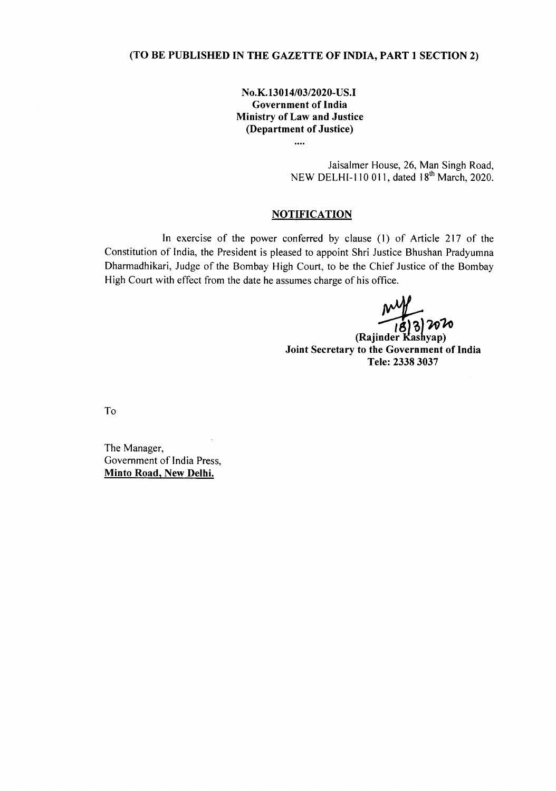## **(TO BE PUBLISHED IN THE GAZETTE OF INDIA, PART 1 SECTION 2)**

**N0.K.130** *14/03/2020-* **US.I Government of India Ministry of Law and Justice (Department of Justice)**

 $\ddotsc$ 

Jaisalmer House, 26, Man Singh Road, NEW DELHI-110 011, dated 18<sup>th</sup> March, 2020.

## **NOTIFICATION**

**In** exercise of the power conferred by clause (1) of Article 217 of the Constitution of India, the President is pleased to appoint Shri Justice Bhushan Pradyumna Dharmadhikari, Judge of the Bombay High Court, to be the Chief Justice of the Bombay High Court with effect from the date he assumes charge of his office.

(Rajinder Kashyap) **Joint Secretary to the Government of India Tele: 2338 3037**

To

The Manager, Government of India Press, **Minto Road, New Delhi.**